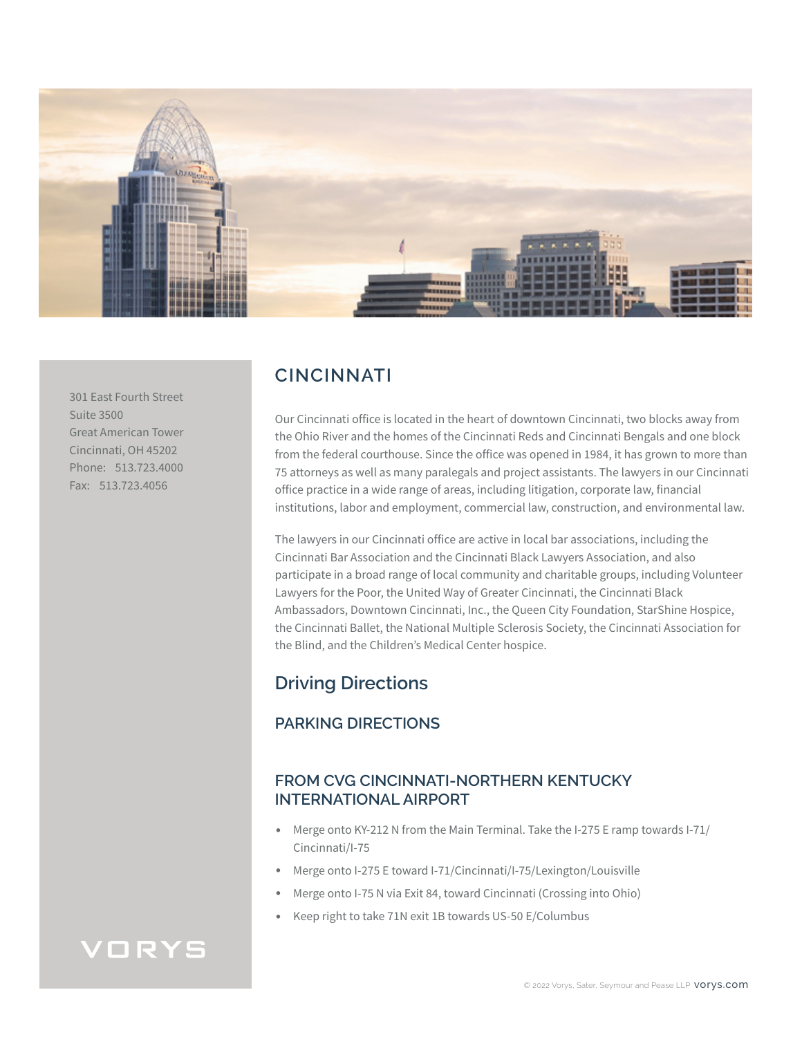

301 East Fourth Street Suite 3500 Great American Tower Cincinnati, OH 45202 Phone: 513.723.4000 Fax: 513.723.4056

# **CINCINNATI**

Our Cincinnati office is located in the heart of downtown Cincinnati, two blocks away from the Ohio River and the homes of the Cincinnati Reds and Cincinnati Bengals and one block from the federal courthouse. Since the office was opened in 1984, it has grown to more than 75 attorneys as well as many paralegals and project assistants. The lawyers in our Cincinnati office practice in a wide range of areas, including litigation, corporate law, financial institutions, labor and employment, commercial law, construction, and environmental law.

The lawyers in our Cincinnati office are active in local bar associations, including the Cincinnati Bar Association and the Cincinnati Black Lawyers Association, and also participate in a broad range of local community and charitable groups, including Volunteer Lawyers for the Poor, the United Way of Greater Cincinnati, the Cincinnati Black Ambassadors, Downtown Cincinnati, Inc., the Queen City Foundation, StarShine Hospice, the Cincinnati Ballet, the National Multiple Sclerosis Society, the Cincinnati Association for the Blind, and the Children's Medical Center hospice.

# **Driving Directions**

## **PARKING DIRECTIONS**

## **FROM CVG CINCINNATI-NORTHERN KENTUCKY INTERNATIONAL AIRPORT**

- Merge onto KY-212 N from the Main Terminal. Take the I-275 E ramp towards I-71/ Cincinnati/I-75
- Merge onto I-275 E toward I-71/Cincinnati/I-75/Lexington/Louisville
- Merge onto I-75 N via Exit 84, toward Cincinnati (Crossing into Ohio)
- Keep right to take 71N exit 1B towards US-50 E/Columbus

# VORYS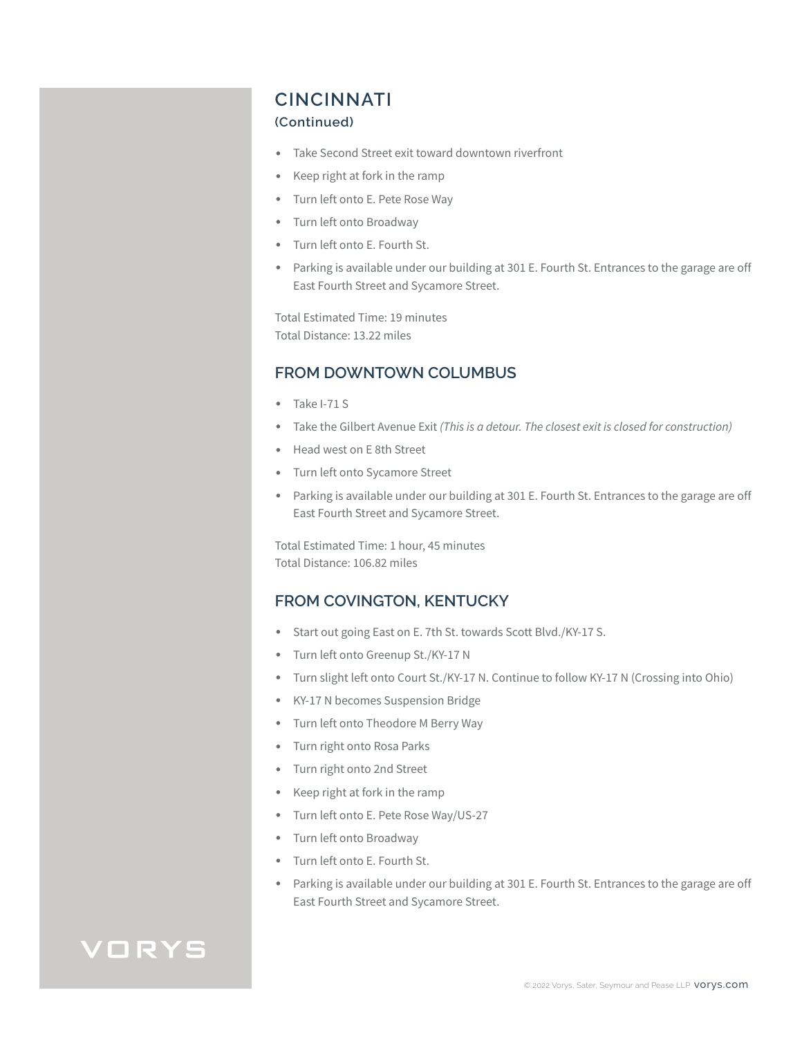## **CINCINNATI**

#### **(Continued)**

- Take Second Street exit toward downtown riverfront
- Keep right at fork in the ramp
- Turn left onto E. Pete Rose Way
- Turn left onto Broadway
- Turn left onto E. Fourth St.
- Parking is available under our building at 301 E. Fourth St. Entrances to the garage are off East Fourth Street and Sycamore Street.

Total Estimated Time: 19 minutes Total Distance: 13.22 miles

### **FROM DOWNTOWN COLUMBUS**

- Take I-71 S
- Take the Gilbert Avenue Exit *(This is a detour. The closest exit is closed for construction)*
- Head west on E 8th Street
- Turn left onto Sycamore Street
- Parking is available under our building at 301 E. Fourth St. Entrances to the garage are off East Fourth Street and Sycamore Street.

Total Estimated Time: 1 hour, 45 minutes Total Distance: 106.82 miles

### **FROM COVINGTON, KENTUCKY**

- Start out going East on E. 7th St. towards Scott Blvd./KY-17 S.
- Turn left onto Greenup St./KY-17 N
- Turn slight left onto Court St./KY-17 N. Continue to follow KY-17 N (Crossing into Ohio)
- KY-17 N becomes Suspension Bridge
- Turn left onto Theodore M Berry Way
- Turn right onto Rosa Parks
- Turn right onto 2nd Street
- Keep right at fork in the ramp
- Turn left onto E. Pete Rose Way/US-27
- Turn left onto Broadway
- Turn left onto E. Fourth St.
- Parking is available under our building at 301 E. Fourth St. Entrances to the garage are off East Fourth Street and Sycamore Street.

# VORYS